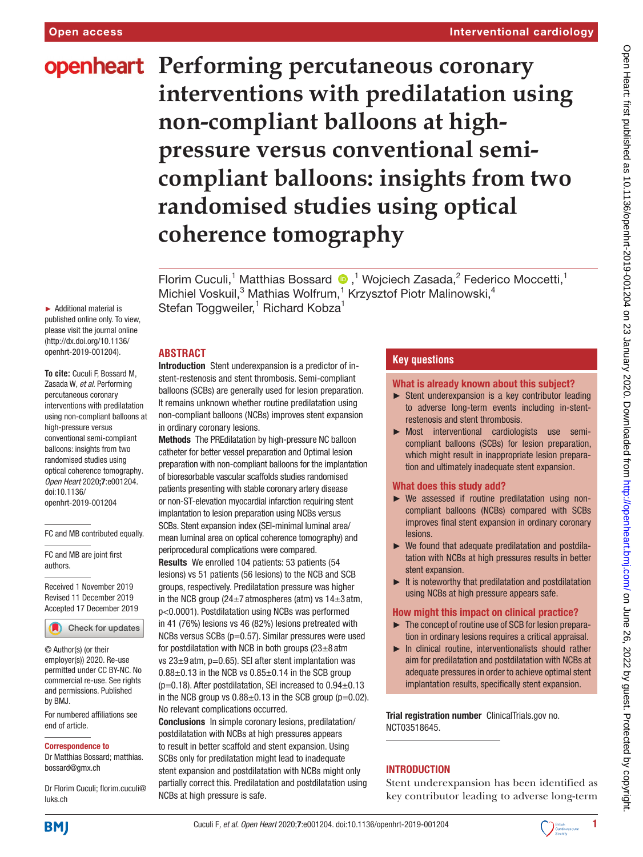# **openheart** Performing percutaneous coronary **interventions with predilatation using non-compliant balloons at highpressure versus conventional semicompliant balloons: insights from two randomised studies using optical coherence tomography**

Florim Cuculi,<sup>1</sup> Matthias Bossard <sup>1</sup>,<sup>1</sup> Wojciech Zasada,<sup>2</sup> Federico Moccetti,<sup>1</sup> Michiel Voskuil,<sup>3</sup> Mathias Wolfrum,<sup>1</sup> Krzysztof Piotr Malinowski,<sup>4</sup> Stefan Toggweiler,<sup>1</sup> Richard Kobza<sup>1</sup>

## **Abstract**

Introduction Stent underexpansion is a predictor of instent-restenosis and stent thrombosis. Semi-compliant balloons (SCBs) are generally used for lesion preparation. It remains unknown whether routine predilatation using non-compliant balloons (NCBs) improves stent expansion in ordinary coronary lesions.

Methods The PREdilatation by high-pressure NC balloon catheter for better vessel preparation and Optimal lesion preparation with non-compliant balloons for the implantation of bioresorbable vascular scaffolds studies randomised patients presenting with stable coronary artery disease or non-ST-elevation myocardial infarction requiring stent implantation to lesion preparation using NCBs versus SCBs. Stent expansion index (SEI-minimal luminal area/ mean luminal area on optical coherence tomography) and periprocedural complications were compared. Results We enrolled 104 patients: 53 patients (54

lesions) vs 51 patients (56 lesions) to the NCB and SCB groups, respectively. Predilatation pressure was higher in the NCB group (24 $\pm$ 7 atmospheres (atm) vs 14 $\pm$ 3 atm, p<0.0001). Postdilatation using NCBs was performed in 41 (76%) lesions vs 46 (82%) lesions pretreated with NCBs versus SCBs (p=0.57). Similar pressures were used for postdilatation with NCB in both groups  $(23\pm8 \text{ atm})$ vs  $23\pm9$  atm, p=0.65). SEI after stent implantation was  $0.88\pm0.13$  in the NCB vs  $0.85\pm0.14$  in the SCB group ( $p=0.18$ ). After postdilatation, SEI increased to  $0.94\pm0.13$ in the NCB group vs  $0.88\pm0.13$  in the SCB group (p=0.02). No relevant complications occurred.

Conclusions In simple coronary lesions, predilatation/ postdilatation with NCBs at high pressures appears to result in better scaffold and stent expansion. Using SCBs only for predilatation might lead to inadequate stent expansion and postdilatation with NCBs might only partially correct this. Predilatation and postdilatation using NCBs at high pressure is safe.

# **Key questions**

#### What is already known about this subject?

- ► Stent underexpansion is a key contributor leading to adverse long-term events including in-stentrestenosis and stent thrombosis.
- ► Most interventional cardiologists use semicompliant balloons (SCBs) for lesion preparation, which might result in inappropriate lesion preparation and ultimately inadequate stent expansion.

## What does this study add?

- ► We assessed if routine predilatation using noncompliant balloons (NCBs) compared with SCBs improves final stent expansion in ordinary coronary lesions.
- ► We found that adequate predilatation and postdilatation with NCBs at high pressures results in better stent expansion.
- $\blacktriangleright$  It is noteworthy that predilatation and postdilatation using NCBs at high pressure appears safe.

## How might this impact on clinical practice?

- ► The concept of routine use of SCB for lesion preparation in ordinary lesions requires a critical appraisal.
- ► In clinical routine, interventionalists should rather aim for predilatation and postdilatation with NCBs at adequate pressures in order to achieve optimal stent implantation results, specifically stent expansion.

Trial registration number ClinicalTrials.gov no. <NCT03518645>.

# **INTRODUCTION**

Stent underexpansion has been identified as key contributor leading to adverse long-term

► Additional material is published online only. To view, please visit the journal online (http://dx.doi.org/10.1136/ openhrt-2019-001204).

**To cite:** Cuculi F, Bossard M, Zasada W*, et al*. Performing percutaneous coronary interventions with predilatation using non-compliant balloons at high-pressure versus conventional semi-compliant balloons: insights from two randomised studies using optical coherence tomography*. Open Heart* 2020;7:e001204. doi:10.1136/ openhrt-2019-001204

FC and MB contributed equally.

FC and MB are joint first authors.

Received 1 November 2019 Revised 11 December 2019 Accepted 17 December 2019

Check for updates

© Author(s) (or their employer(s)) 2020. Re-use permitted under CC BY-NC. No commercial re-use. See rights and permissions. Published by BMJ.

For numbered affiliations see end of article.

#### Correspondence to

Dr Matthias Bossard; matthias. bossard@gmx.ch

Dr Florim Cuculi; florim.cuculi@ luks.ch

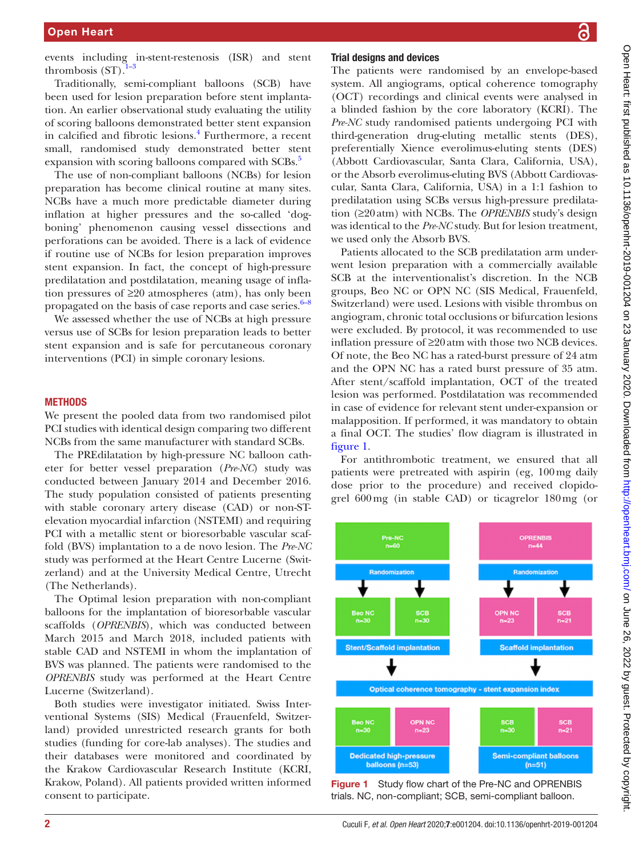events including in-stent-restenosis (ISR) and stent thrombosis  $(ST)$ .

Traditionally, semi-compliant balloons (SCB) have been used for lesion preparation before stent implantation. An earlier observational study evaluating the utility of scoring balloons demonstrated better stent expansion in calcified and fibrotic lesions.<sup>[4](#page-7-1)</sup> Furthermore, a recent small, randomised study demonstrated better stent expansion with scoring balloons compared with SCBs.<sup>5</sup>

The use of non-compliant balloons (NCBs) for lesion preparation has become clinical routine at many sites. NCBs have a much more predictable diameter during inflation at higher pressures and the so-called 'dogboning' phenomenon causing vessel dissections and perforations can be avoided. There is a lack of evidence if routine use of NCBs for lesion preparation improves stent expansion. In fact, the concept of high-pressure predilatation and postdilatation, meaning usage of inflation pressures of ≥20 atmospheres (atm), has only been propagated on the basis of case reports and case series.<sup>6–8</sup>

We assessed whether the use of NCBs at high pressure versus use of SCBs for lesion preparation leads to better stent expansion and is safe for percutaneous coronary interventions (PCI) in simple coronary lesions.

#### **METHODS**

We present the pooled data from two randomised pilot PCI studies with identical design comparing two different NCBs from the same manufacturer with standard SCBs.

The PREdilatation by high-pressure NC balloon catheter for better vessel preparation (*Pre-NC*) study was conducted between January 2014 and December 2016. The study population consisted of patients presenting with stable coronary artery disease (CAD) or non-STelevation myocardial infarction (NSTEMI) and requiring PCI with a metallic stent or bioresorbable vascular scaffold (BVS) implantation to a de novo lesion. The *Pre-NC* study was performed at the Heart Centre Lucerne (Switzerland) and at the University Medical Centre, Utrecht (The Netherlands).

The Optimal lesion preparation with non-compliant balloons for the implantation of bioresorbable vascular scaffolds (*OPRENBIS*), which was conducted between March 2015 and March 2018, included patients with stable CAD and NSTEMI in whom the implantation of BVS was planned. The patients were randomised to the *OPRENBIS* study was performed at the Heart Centre Lucerne (Switzerland).

Both studies were investigator initiated. Swiss Interventional Systems (SIS) Medical (Frauenfeld, Switzerland) provided unrestricted research grants for both studies (funding for core-lab analyses). The studies and their databases were monitored and coordinated by the Krakow Cardiovascular Research Institute (KCRI, Krakow, Poland). All patients provided written informed consent to participate.

#### Trial designs and devices

The patients were randomised by an envelope-based system. All angiograms, optical coherence tomography (OCT) recordings and clinical events were analysed in a blinded fashion by the core laboratory (KCRI). The *Pre-NC* study randomised patients undergoing PCI with third-generation drug-eluting metallic stents (DES), preferentially Xience everolimus-eluting stents (DES) (Abbott Cardiovascular, Santa Clara, California, USA), or the Absorb everolimus-eluting BVS (Abbott Cardiovascular, Santa Clara, California, USA) in a 1:1 fashion to predilatation using SCBs versus high-pressure predilatation (≥20atm) with NCBs. The *OPRENBIS* study's design was identical to the *Pre-NC* study. But for lesion treatment, we used only the Absorb BVS.

Patients allocated to the SCB predilatation arm underwent lesion preparation with a commercially available SCB at the interventionalist's discretion. In the NCB groups, Beo NC or OPN NC (SIS Medical, Frauenfeld, Switzerland) were used. Lesions with visible thrombus on angiogram, chronic total occlusions or bifurcation lesions were excluded. By protocol, it was recommended to use inflation pressure of ≥20atm with those two NCB devices. Of note, the Beo NC has a rated-burst pressure of 24 atm and the OPN NC has a rated burst pressure of 35 atm. After stent/scaffold implantation, OCT of the treated lesion was performed. Postdilatation was recommended in case of evidence for relevant stent under-expansion or malapposition. If performed, it was mandatory to obtain a final OCT. The studies' flow diagram is illustrated in [figure](#page-1-0) 1.

For antithrombotic treatment, we ensured that all patients were pretreated with aspirin (eg, 100mg daily dose prior to the procedure) and received clopidogrel 600mg (in stable CAD) or ticagrelor 180mg (or



<span id="page-1-0"></span>Figure 1 Study flow chart of the Pre-NC and OPRENBIS trials. NC, non-compliant; SCB, semi-compliant balloon.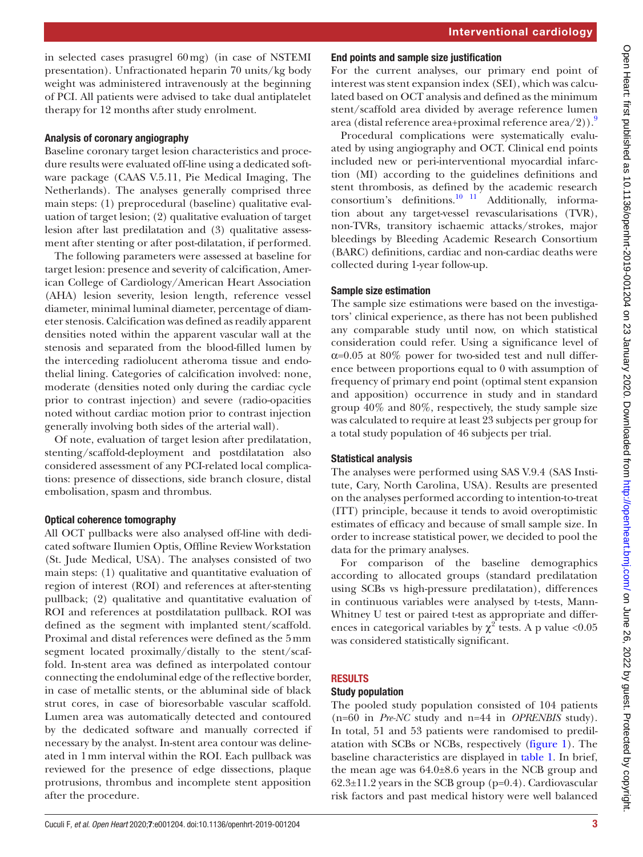in selected cases prasugrel 60mg) (in case of NSTEMI presentation). Unfractionated heparin 70 units/kg body weight was administered intravenously at the beginning of PCI. All patients were advised to take dual antiplatelet therapy for 12 months after study enrolment.

# Analysis of coronary angiography

Baseline coronary target lesion characteristics and procedure results were evaluated off-line using a dedicated software package (CAAS V.5.11, Pie Medical Imaging, The Netherlands). The analyses generally comprised three main steps: (1) preprocedural (baseline) qualitative evaluation of target lesion; (2) qualitative evaluation of target lesion after last predilatation and (3) qualitative assessment after stenting or after post-dilatation, if performed.

The following parameters were assessed at baseline for target lesion: presence and severity of calcification, American College of Cardiology/American Heart Association (AHA) lesion severity, lesion length, reference vessel diameter, minimal luminal diameter, percentage of diameter stenosis. Calcification was defined as readily apparent densities noted within the apparent vascular wall at the stenosis and separated from the blood-filled lumen by the interceding radiolucent atheroma tissue and endothelial lining. Categories of calcification involved: none, moderate (densities noted only during the cardiac cycle prior to contrast injection) and severe (radio-opacities noted without cardiac motion prior to contrast injection generally involving both sides of the arterial wall).

Of note, evaluation of target lesion after predilatation, stenting/scaffold-deployment and postdilatation also considered assessment of any PCI-related local complications: presence of dissections, side branch closure, distal embolisation, spasm and thrombus.

# Optical coherence tomography

All OCT pullbacks were also analysed off-line with dedicated software Ilumien Optis, Offline Review Workstation (St. Jude Medical, USA). The analyses consisted of two main steps: (1) qualitative and quantitative evaluation of region of interest (ROI) and references at after-stenting pullback; (2) qualitative and quantitative evaluation of ROI and references at postdilatation pullback. ROI was defined as the segment with implanted stent/scaffold. Proximal and distal references were defined as the 5mm segment located proximally/distally to the stent/scaffold. In-stent area was defined as interpolated contour connecting the endoluminal edge of the reflective border, in case of metallic stents, or the abluminal side of black strut cores, in case of bioresorbable vascular scaffold. Lumen area was automatically detected and contoured by the dedicated software and manually corrected if necessary by the analyst. In-stent area contour was delineated in 1mm interval within the ROI. Each pullback was reviewed for the presence of edge dissections, plaque protrusions, thrombus and incomplete stent apposition after the procedure.

## End points and sample size justification

For the current analyses, our primary end point of interest was stent expansion index (SEI), which was calculated based on OCT analysis and defined as the minimum stent/scaffold area divided by average reference lumen area (distal reference area+proximal reference area/2)).<sup>9</sup>

Procedural complications were systematically evaluated by using angiography and OCT. Clinical end points included new or peri-interventional myocardial infarction (MI) according to the guidelines definitions and stent thrombosis, as defined by the academic research consortium's definitions.<sup>10</sup> <sup>11</sup> Additionally, information about any target-vessel revascularisations (TVR), non-TVRs, transitory ischaemic attacks/strokes, major bleedings by Bleeding Academic Research Consortium (BARC) definitions, cardiac and non-cardiac deaths were collected during 1-year follow-up.

## Sample size estimation

The sample size estimations were based on the investigators' clinical experience, as there has not been published any comparable study until now, on which statistical consideration could refer. Using a significance level of  $\alpha$ =0.05 at 80% power for two-sided test and null difference between proportions equal to 0 with assumption of frequency of primary end point (optimal stent expansion and apposition) occurrence in study and in standard group 40% and 80%, respectively, the study sample size was calculated to require at least 23 subjects per group for a total study population of 46 subjects per trial.

## Statistical analysis

The analyses were performed using SAS V.9.4 (SAS Institute, Cary, North Carolina, USA). Results are presented on the analyses performed according to intention-to-treat (ITT) principle, because it tends to avoid overoptimistic estimates of efficacy and because of small sample size. In order to increase statistical power, we decided to pool the data for the primary analyses.

For comparison of the baseline demographics according to allocated groups (standard predilatation using SCBs vs high-pressure predilatation), differences in continuous variables were analysed by t-tests, Mann-Whitney U test or paired t-test as appropriate and differences in categorical variables by  $\chi^2$  tests. A p value <0.05 was considered statistically significant.

# **RESULTS**

# Study population

The pooled study population consisted of 104 patients (n=60 in *Pre-NC* study and n=44 in *OPRENBIS* study). In total, 51 and 53 patients were randomised to predilatation with SCBs or NCBs, respectively ([figure](#page-1-0) 1). The baseline characteristics are displayed in [table](#page-3-0) 1. In brief, the mean age was  $64.0\pm8.6$  years in the NCB group and 62.3±11.2 years in the SCB group (p=0.4). Cardiovascular risk factors and past medical history were well balanced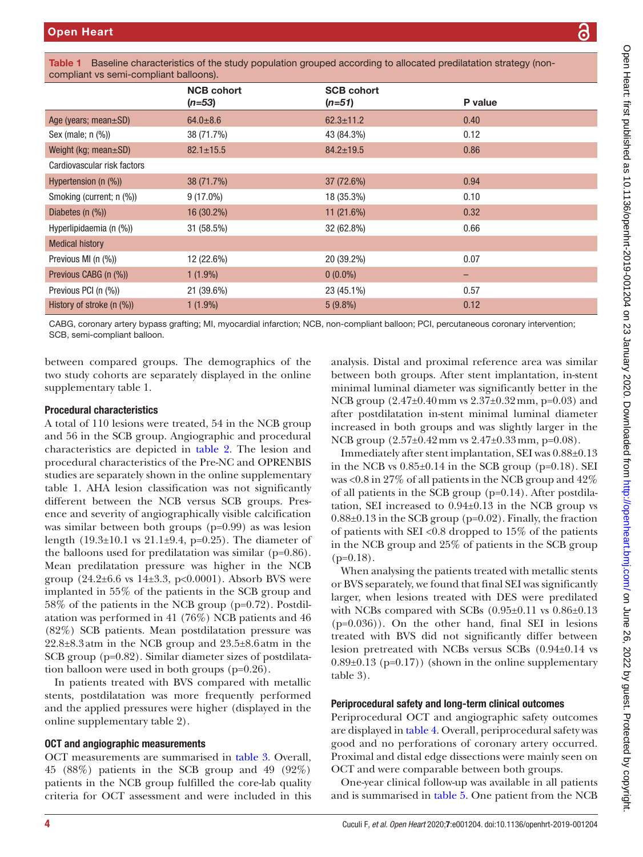Medical history

compliant vs semi-compliant balloons). NCB cohort (*n=53*) SCB cohort (*n=51*) P value Age (years; mean $\pm$ SD) 64.0 $\pm$ 8.6 62.3 $\pm$ 11.2 62.3 $\pm$ 11.2 68.40 Sex (male; n (%)) 38 (71.7%) 43 (84.3%) 43 (84.3%) 0.12 Weight (kg; mean $\pm$ SD) 82.1 $\pm$ 15.5 84.2 $\pm$ 19.5 84.2 $\pm$ 19.5 86.2 $\pm$ 19.5 86.86 Cardiovascular risk factors Hypertension (n (%)) 38 (71.7%) 38 (32.6%) 37 (72.6%) 37 (32.6%) 38 (39.94 Smoking (current: n (%))  $(9 \t(17.0\%)$  9 (17.0%) 18 (35.3%) 18 (35.3%) Diabetes (n (%)) 16 (30.2%) 16 (30.2%) 11 (21.6%) 11 (21.6%) Hyperlipidaemia (n (%)) 31 (58.5%) 32 (62.8%) 0.66 Previous MI (n (%)) 12 (22.6%) 20 (39.2%) 0.07 Previous CABG (n (%))  $1(1.9\%)$  0 (0.0%) Previous PCI (n (%)) 21 (39.6%) 23 (45.1%) 0.57 History of stroke (n (%)) 1 (1.9%) 1 (1.9%) 5 (9.8%) 5 (9.8%) 0.12 CABG, coronary artery bypass grafting; MI, myocardial infarction; NCB, non-compliant balloon; PCI, percutaneous coronary intervention; SCB, semi-compliant balloon.

<span id="page-3-0"></span>Table 1 Baseline characteristics of the study population grouped according to allocated predilatation strategy (non-

between compared groups. The demographics of the two study cohorts are separately displayed in the [online](https://dx.doi.org/10.1136/openhrt-2019-001204) [supplementary table 1](https://dx.doi.org/10.1136/openhrt-2019-001204).

#### Procedural characteristics

A total of 110 lesions were treated, 54 in the NCB group and 56 in the SCB group. Angiographic and procedural characteristics are depicted in [table](#page-4-0) 2. The lesion and procedural characteristics of the Pre-NC and OPRENBIS studies are separately shown in the [online supplementary](https://dx.doi.org/10.1136/openhrt-2019-001204) [table 1.](https://dx.doi.org/10.1136/openhrt-2019-001204) AHA lesion classification was not significantly different between the NCB versus SCB groups. Presence and severity of angiographically visible calcification was similar between both groups (p=0.99) as was lesion length (19.3±10.1 vs 21.1±9.4, p=0.25). The diameter of the balloons used for predilatation was similar (p=0.86). Mean predilatation pressure was higher in the NCB group  $(24.2\pm6.6 \text{ vs } 14\pm3.3, \text{ p} < 0.0001)$ . Absorb BVS were implanted in 55% of the patients in the SCB group and 58% of the patients in the NCB group (p=0.72). Postdilatation was performed in 41 (76%) NCB patients and 46 (82%) SCB patients. Mean postdilatation pressure was 22.8±8.3atm in the NCB group and 23.5±8.6atm in the SCB group (p=0.82). Similar diameter sizes of postdilatation balloon were used in both groups (p=0.26).

In patients treated with BVS compared with metallic stents, postdilatation was more frequently performed and the applied pressures were higher (displayed in the [online supplementary table 2\)](https://dx.doi.org/10.1136/openhrt-2019-001204).

## OCT and angiographic measurements

OCT measurements are summarised in [table](#page-5-0) 3. Overall, 45 (88%) patients in the SCB group and 49 (92%) patients in the NCB group fulfilled the core-lab quality criteria for OCT assessment and were included in this

analysis. Distal and proximal reference area was similar between both groups. After stent implantation, in-stent minimal luminal diameter was significantly better in the NCB group (2.47±0.40mm vs 2.37±0.32mm, p=0.03) and after postdilatation in-stent minimal luminal diameter increased in both groups and was slightly larger in the NCB group (2.57±0.42mm vs 2.47±0.33mm, p=0.08).

Immediately after stent implantation, SEI was 0.88±0.13 in the NCB vs  $0.85\pm0.14$  in the SCB group (p=0.18). SEI was <0.8 in 27% of all patients in the NCB group and 42% of all patients in the SCB group (p=0.14). After postdilatation, SEI increased to 0.94±0.13 in the NCB group vs  $0.88\pm0.13$  in the SCB group (p=0.02). Finally, the fraction of patients with SEI <0.8 dropped to 15% of the patients in the NCB group and 25% of patients in the SCB group  $(p=0.18)$ .

When analysing the patients treated with metallic stents or BVS separately, we found that final SEI was significantly larger, when lesions treated with DES were predilated with NCBs compared with SCBs (0.95±0.11 vs 0.86±0.13 (p=0.036)). On the other hand, final SEI in lesions treated with BVS did not significantly differ between lesion pretreated with NCBs versus SCBs (0.94±0.14 vs  $0.89\pm0.13$  (p=0.17)) (shown in the online supplementary table 3).

#### Periprocedural safety and long-term clinical outcomes

Periprocedural OCT and angiographic safety outcomes are displayed in [table](#page-5-1) 4. Overall, periprocedural safety was good and no perforations of coronary artery occurred. Proximal and distal edge dissections were mainly seen on OCT and were comparable between both groups.

One-year clinical follow-up was available in all patients and is summarised in [table](#page-6-0) 5. One patient from the NCB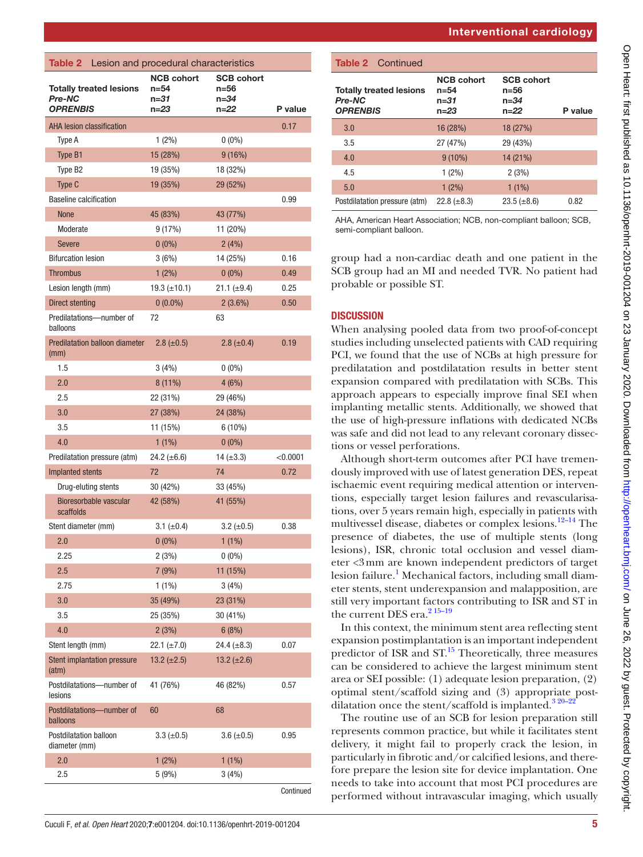<span id="page-4-0"></span>

| <b>Table 2</b> Lesion and procedural characteristics        |                                               |                                               |            |
|-------------------------------------------------------------|-----------------------------------------------|-----------------------------------------------|------------|
| <b>Totally treated lesions</b><br>Pre-NC<br><b>OPRENBIS</b> | <b>NCB cohort</b><br>n=54<br>n=31<br>$n = 23$ | <b>SCB cohort</b><br>$n = 56$<br>n=34<br>n=22 | P value    |
| <b>AHA lesion classification</b>                            |                                               |                                               | 0.17       |
| Type A                                                      | $1(2\%)$                                      | $0(0\%)$                                      |            |
| Type B1                                                     | 15 (28%)                                      | 9(16%)                                        |            |
| Type B <sub>2</sub>                                         | 19 (35%)                                      | 18 (32%)                                      |            |
| Type C                                                      | 19 (35%)                                      | 29 (52%)                                      |            |
| <b>Baseline calcification</b>                               |                                               |                                               | 0.99       |
| <b>None</b>                                                 | 45 (83%)                                      | 43 (77%)                                      |            |
| Moderate                                                    | 9 (17%)                                       | 11 (20%)                                      |            |
| <b>Severe</b>                                               | $0(0\%)$                                      | 2(4%)                                         |            |
| <b>Bifurcation lesion</b>                                   | 3(6%)                                         | 14 (25%)                                      | 0.16       |
| <b>Thrombus</b>                                             | $1(2\%)$                                      | $0(0\%)$                                      | 0.49       |
| Lesion length (mm)                                          | 19.3 $(\pm 10.1)$                             | 21.1 $(\pm 9.4)$                              | 0.25       |
| Direct stenting                                             | $0(0.0\%)$                                    | $2(3.6\%)$                                    | 0.50       |
| Predilatations-number of<br>balloons                        | 72                                            | 63                                            |            |
| <b>Predilatation balloon diameter</b><br>(mm)               | $2.8 (\pm 0.5)$                               | $2.8 (\pm 0.4)$                               | 0.19       |
| 1.5                                                         | 3(4%)                                         | $0(0\%)$                                      |            |
| 2.0                                                         | 8 (11%)                                       | 4(6%)                                         |            |
| 2.5                                                         | 22 (31%)                                      | 29 (46%)                                      |            |
| 3.0                                                         | 27 (38%)                                      | 24 (38%)                                      |            |
| 3.5                                                         | 11 (15%)                                      | $6(10\%)$                                     |            |
| 4.0                                                         | $1(1\%)$                                      | $0(0\%)$                                      |            |
| Predilatation pressure (atm)                                | 24.2 $(\pm 6.6)$                              | 14 $(\pm 3.3)$                                | $<$ 0.0001 |
| Implanted stents                                            | 72                                            | 74                                            | 0.72       |
| Drug-eluting stents                                         | 30 (42%)                                      | 33 (45%)                                      |            |
| Bioresorbable vascular<br>scaffolds                         | 42 (58%)                                      | 41 (55%)                                      |            |
| Stent diameter (mm)                                         | 3.1 $(\pm 0.4)$                               | $3.2 \ (\pm 0.5)$                             | 0.38       |
| 2.0                                                         | $0(0\%)$                                      | $1(1\%)$                                      |            |
| 2.25                                                        | 2(3%)                                         | $0(0\%)$                                      |            |
| 2.5                                                         | 7 (9%)                                        | 11 (15%)                                      |            |
| 2.75                                                        | $1(1\%)$                                      | 3(4%)                                         |            |
| 3.0                                                         | 35 (49%)                                      | 23 (31%)                                      |            |
| 3.5                                                         | 25 (35%)                                      | 30 (41%)                                      |            |
| 4.0                                                         | 2(3%)                                         | 6(8%)                                         |            |
| Stent length (mm)                                           | $22.1 (\pm 7.0)$                              | 24.4 $(\pm 8.3)$                              | 0.07       |
| <b>Stent implantation pressure</b><br>(atm)                 | 13.2 $(\pm 2.5)$                              | 13.2 $(\pm 2.6)$                              |            |
| Postdilatations-number of<br>lesions                        | 41 (76%)                                      | 46 (82%)                                      | 0.57       |
| Postdilatations-number of<br>balloons                       | 60                                            | 68                                            |            |
| Postdilatation balloon<br>diameter (mm)                     | $3.3 (\pm 0.5)$                               | $3.6 (\pm 0.5)$                               | 0.95       |
| 2.0                                                         | $1(2\%)$                                      | $1(1\%)$                                      |            |
| 2.5                                                         | 5 (9%)                                        | 3(4%)                                         |            |
|                                                             |                                               |                                               |            |

| <b>Table 2</b> Continued                                    |                                               |                                               |         |
|-------------------------------------------------------------|-----------------------------------------------|-----------------------------------------------|---------|
| <b>Totally treated lesions</b><br>Pre-NC<br><b>OPRENBIS</b> | <b>NCB cohort</b><br>n=54<br>n=31<br>$n = 23$ | <b>SCB cohort</b><br>n=56<br>n=34<br>$n = 22$ | P value |
| 3.0                                                         | 16 (28%)                                      | 18 (27%)                                      |         |
| 3.5                                                         | 27 (47%)                                      | 29 (43%)                                      |         |
| 4.0                                                         | $9(10\%)$                                     | 14 (21%)                                      |         |
| 4.5                                                         | $1(2\%)$                                      | 2(3%)                                         |         |
| 5.0                                                         | $1(2\%)$                                      | $1(1\%)$                                      |         |
| Postdilatation pressure (atm)                               | 22.8 $(\pm 8.3)$                              | $23.5 (\pm 8.6)$                              | 0.82    |

AHA, American Heart Association; NCB, non-compliant balloon; SCB, semi-compliant balloon.

group had a non-cardiac death and one patient in the SCB group had an MI and needed TVR. No patient had probable or possible ST.

## **DISCUSSION**

When analysing pooled data from two proof-of-concept studies including unselected patients with CAD requiring PCI, we found that the use of NCBs at high pressure for predilatation and postdilatation results in better stent expansion compared with predilatation with SCBs. This approach appears to especially improve final SEI when implanting metallic stents. Additionally, we showed that the use of high-pressure inflations with dedicated NCBs was safe and did not lead to any relevant coronary dissections or vessel perforations.

Although short-term outcomes after PCI have tremendously improved with use of latest generation DES, repeat ischaemic event requiring medical attention or interventions, especially target lesion failures and revascularisations, over 5 years remain high, especially in patients with multivessel disease, diabetes or complex lesions.<sup>12–14</sup> The presence of diabetes, the use of multiple stents (long lesions), ISR, chronic total occlusion and vessel diameter <3mm are known independent predictors of target lesion failure.<sup>[1](#page-7-0)</sup> Mechanical factors, including small diameter stents, stent underexpansion and malapposition, are still very important factors contributing to ISR and ST in the current DES era.<sup>[2 15–19](#page-7-7)</sup>

In this context, the minimum stent area reflecting stent expansion postimplantation is an important independent predictor of ISR and  $ST<sup>15</sup>$  $ST<sup>15</sup>$  $ST<sup>15</sup>$  Theoretically, three measures can be considered to achieve the largest minimum stent area or SEI possible: (1) adequate lesion preparation, (2) optimal stent/scaffold sizing and (3) appropriate postdilatation once the stent/scaffold is implanted. $3^{320-2}$ 

The routine use of an SCB for lesion preparation still represents common practice, but while it facilitates stent delivery, it might fail to properly crack the lesion, in particularly in fibrotic and/or calcified lesions, and therefore prepare the lesion site for device implantation. One needs to take into account that most PCI procedures are performed without intravascular imaging, which usually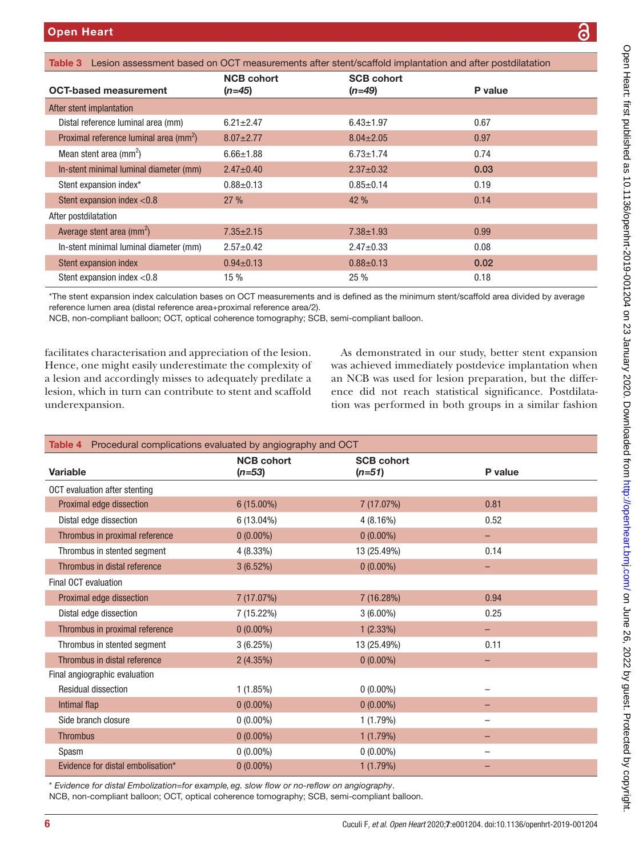<span id="page-5-0"></span>

| Table 3 Lesion assessment based on OCT measurements after stent/scaffold implantation and after postdilatation |                               |                               |         |
|----------------------------------------------------------------------------------------------------------------|-------------------------------|-------------------------------|---------|
| <b>OCT-based measurement</b>                                                                                   | <b>NCB cohort</b><br>$(n=45)$ | <b>SCB cohort</b><br>$(n=49)$ | P value |
| After stent implantation                                                                                       |                               |                               |         |
| Distal reference luminal area (mm)                                                                             | $6.21 \pm 2.47$               | $6.43 \pm 1.97$               | 0.67    |
| Proximal reference luminal area $\text{(mm}^2)$                                                                | $8.07 \pm 2.77$               | $8.04 \pm 2.05$               | 0.97    |
| Mean stent area $(mm^2)$                                                                                       | $6.66 \pm 1.88$               | $6.73 \pm 1.74$               | 0.74    |
| In-stent minimal luminal diameter (mm)                                                                         | $2.47 \pm 0.40$               | $2.37 \pm 0.32$               | 0.03    |
| Stent expansion index*                                                                                         | $0.88 \pm 0.13$               | $0.85 \pm 0.14$               | 0.19    |
| Stent expansion index $< 0.8$                                                                                  | 27%                           | 42%                           | 0.14    |
| After postdilatation                                                                                           |                               |                               |         |
| Average stent area $(mm^2)$                                                                                    | $7.35 \pm 2.15$               | $7.38 \pm 1.93$               | 0.99    |
| In-stent minimal luminal diameter (mm)                                                                         | $2.57 \pm 0.42$               | $2.47 \pm 0.33$               | 0.08    |
| Stent expansion index                                                                                          | $0.94 \pm 0.13$               | $0.88 \pm 0.13$               | 0.02    |
| Stent expansion index $< 0.8$                                                                                  | 15%                           | 25%                           | 0.18    |

\*The stent expansion index calculation bases on OCT measurements and is defined as the minimum stent/scaffold area divided by average reference lumen area (distal reference area+proximal reference area/2).

NCB, non-compliant balloon; OCT, optical coherence tomography; SCB, semi-compliant balloon.

facilitates characterisation and appreciation of the lesion. Hence, one might easily underestimate the complexity of a lesion and accordingly misses to adequately predilate a lesion, which in turn can contribute to stent and scaffold underexpansion.

As demonstrated in our study, better stent expansion was achieved immediately postdevice implantation when an NCB was used for lesion preparation, but the difference did not reach statistical significance. Postdilatation was performed in both groups in a similar fashion

<span id="page-5-1"></span>

| Table 4 Procedural complications evaluated by angiography and OCT |                   |                   |         |
|-------------------------------------------------------------------|-------------------|-------------------|---------|
|                                                                   | <b>NCB cohort</b> | <b>SCB cohort</b> |         |
| Variable                                                          | $(n=53)$          | $(n=51)$          | P value |
| OCT evaluation after stenting                                     |                   |                   |         |
| Proximal edge dissection                                          | $6(15.00\%)$      | 7 (17.07%)        | 0.81    |
| Distal edge dissection                                            | $6(13.04\%)$      | 4(8.16%)          | 0.52    |
| Thrombus in proximal reference                                    | $0(0.00\%)$       | $0(0.00\%)$       | -       |
| Thrombus in stented segment                                       | $4(8.33\%)$       | 13 (25.49%)       | 0.14    |
| Thrombus in distal reference                                      | 3(6.52%)          | $0(0.00\%)$       | -       |
| Final OCT evaluation                                              |                   |                   |         |
| Proximal edge dissection                                          | 7 (17.07%)        | 7 (16.28%)        | 0.94    |
| Distal edge dissection                                            | 7 (15.22%)        | $3(6.00\%)$       | 0.25    |
| Thrombus in proximal reference                                    | $0(0.00\%)$       | 1(2.33%)          | -       |
| Thrombus in stented segment                                       | 3(6.25%)          | 13 (25.49%)       | 0.11    |
| Thrombus in distal reference                                      | 2(4.35%)          | $0(0.00\%)$       |         |
| Final angiographic evaluation                                     |                   |                   |         |
| <b>Residual dissection</b>                                        | 1(1.85%)          | $0(0.00\%)$       |         |
| Intimal flap                                                      | $0(0.00\%)$       | $0(0.00\%)$       |         |
| Side branch closure                                               | $0(0.00\%)$       | 1(1.79%)          |         |
| <b>Thrombus</b>                                                   | $0(0.00\%)$       | 1(1.79%)          |         |
| Spasm                                                             | $0(0.00\%)$       | $0(0.00\%)$       |         |
| Evidence for distal embolisation*                                 | $0(0.00\%)$       | 1(1.79%)          |         |

\* *Evidence for distal Embolization=for example,eg. slow flow or no-reflow on angiography*.

NCB, non-compliant balloon; OCT, optical coherence tomography; SCB, semi-compliant balloon.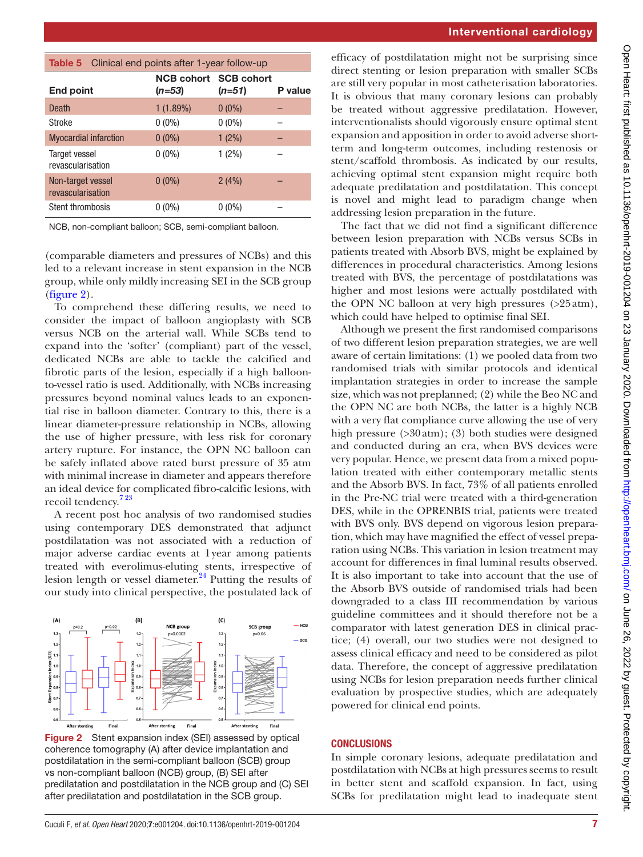| <b>Interventional cardiology</b> |  |
|----------------------------------|--|
|----------------------------------|--|

<span id="page-6-0"></span>

| Clinical end points after 1-year follow-up<br>Table 5 |                                          |          |         |
|-------------------------------------------------------|------------------------------------------|----------|---------|
| End point                                             | <b>NCB cohort SCB cohort</b><br>$(n=53)$ | $(n=51)$ | P value |
| Death                                                 | 1(1.89%)                                 | $0(0\%)$ |         |
| Stroke                                                | $0(0\%)$                                 | $0(0\%)$ |         |
| <b>Myocardial infarction</b>                          | $0(0\%)$                                 | $1(2\%)$ |         |
| <b>Target vessel</b><br>revascularisation             | $0(0\%)$                                 | $1(2\%)$ |         |
| Non-target vessel<br>revascularisation                | $0(0\%)$                                 | 2(4%)    |         |
| Stent thrombosis                                      | $0(0\%)$                                 | $0(0\%)$ |         |

NCB, non-compliant balloon; SCB, semi-compliant balloon.

(comparable diameters and pressures of NCBs) and this led to a relevant increase in stent expansion in the NCB group, while only mildly increasing SEI in the SCB group ([figure](#page-6-1) 2).

To comprehend these differing results, we need to consider the impact of balloon angioplasty with SCB versus NCB on the arterial wall. While SCBs tend to expand into the 'softer' (compliant) part of the vessel, dedicated NCBs are able to tackle the calcified and fibrotic parts of the lesion, especially if a high balloonto-vessel ratio is used. Additionally, with NCBs increasing pressures beyond nominal values leads to an exponential rise in balloon diameter. Contrary to this, there is a linear diameter-pressure relationship in NCBs, allowing the use of higher pressure, with less risk for coronary artery rupture. For instance, the OPN NC balloon can be safely inflated above rated burst pressure of 35 atm with minimal increase in diameter and appears therefore an ideal device for complicated fibro-calcific lesions, with recoil tendency.<sup>723</sup>

A recent post hoc analysis of two randomised studies using contemporary DES demonstrated that adjunct postdilatation was not associated with a reduction of major adverse cardiac events at 1year among patients treated with everolimus-eluting stents, irrespective of lesion length or vessel diameter.<sup>[24](#page-7-11)</sup> Putting the results of our study into clinical perspective, the postulated lack of



<span id="page-6-1"></span>Figure 2 Stent expansion index (SEI) assessed by optical coherence tomography (A) after device implantation and postdilatation in the semi-compliant balloon (SCB) group vs non-compliant balloon (NCB) group, (B) SEI after predilatation and postdilatation in the NCB group and (C) SEI after predilatation and postdilatation in the SCB group.

efficacy of postdilatation might not be surprising since direct stenting or lesion preparation with smaller SCBs are still very popular in most catheterisation laboratories. It is obvious that many coronary lesions can probably be treated without aggressive predilatation. However, interventionalists should vigorously ensure optimal stent expansion and apposition in order to avoid adverse shortterm and long-term outcomes, including restenosis or stent/scaffold thrombosis. As indicated by our results, achieving optimal stent expansion might require both adequate predilatation and postdilatation. This concept is novel and might lead to paradigm change when addressing lesion preparation in the future.

The fact that we did not find a significant difference between lesion preparation with NCBs versus SCBs in patients treated with Absorb BVS, might be explained by differences in procedural characteristics. Among lesions treated with BVS, the percentage of postdilatations was higher and most lesions were actually postdilated with the OPN NC balloon at very high pressures (>25atm), which could have helped to optimise final SEI.

Although we present the first randomised comparisons of two different lesion preparation strategies, we are well aware of certain limitations: (1) we pooled data from two randomised trials with similar protocols and identical implantation strategies in order to increase the sample size, which was not preplanned; (2) while the Beo NC and the OPN NC are both NCBs, the latter is a highly NCB with a very flat compliance curve allowing the use of very high pressure (>30atm); (3) both studies were designed and conducted during an era, when BVS devices were very popular. Hence, we present data from a mixed population treated with either contemporary metallic stents and the Absorb BVS. In fact, 73% of all patients enrolled in the Pre-NC trial were treated with a third-generation DES, while in the OPRENBIS trial, patients were treated with BVS only. BVS depend on vigorous lesion preparation, which may have magnified the effect of vessel preparation using NCBs. This variation in lesion treatment may account for differences in final luminal results observed. It is also important to take into account that the use of the Absorb BVS outside of randomised trials had been downgraded to a class III recommendation by various guideline committees and it should therefore not be a comparator with latest generation DES in clinical practice; (4) overall, our two studies were not designed to assess clinical efficacy and need to be considered as pilot data. Therefore, the concept of aggressive predilatation using NCBs for lesion preparation needs further clinical evaluation by prospective studies, which are adequately powered for clinical end points.

#### **CONCLUSIONS**

In simple coronary lesions, adequate predilatation and postdilatation with NCBs at high pressures seems to result in better stent and scaffold expansion. In fact, using SCBs for predilatation might lead to inadequate stent